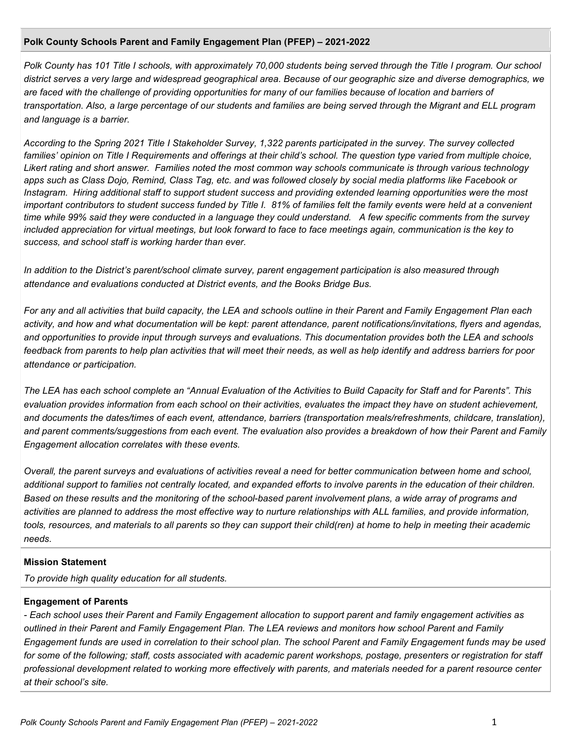#### **Polk County Schools Parent and Family Engagement Plan (PFEP) – 2021-2022**

*Polk County has 101 Title I schools, with approximately 70,000 students being served through the Title I program. Our school district serves a very large and widespread geographical area. Because of our geographic size and diverse demographics, we are faced with the challenge of providing opportunities for many of our families because of location and barriers of transportation. Also, a large percentage of our students and families are being served through the Migrant and ELL program and language is a barrier.*

*According to the Spring 2021 Title I Stakeholder Survey, 1,322 parents participated in the survey. The survey collected families' opinion on Title I Requirements and offerings at their child's school. The question type varied from multiple choice, Likert rating and short answer. Families noted the most common way schools communicate is through various technology apps such as Class Dojo, Remind, Class Tag, etc. and was followed closely by social media platforms like Facebook or Instagram. Hiring additional staff to support student success and providing extended learning opportunities were the most important contributors to student success funded by Title I. 81% of families felt the family events were held at a convenient time while 99% said they were conducted in a language they could understand. A few specific comments from the survey included appreciation for virtual meetings, but look forward to face to face meetings again, communication is the key to success, and school staff is working harder than ever.*

*In addition to the District's parent/school climate survey, parent engagement participation is also measured through attendance and evaluations conducted at District events, and the Books Bridge Bus.*

*For any and all activities that build capacity, the LEA and schools outline in their Parent and Family Engagement Plan each activity, and how and what documentation will be kept: parent attendance, parent notifications/invitations, flyers and agendas, and opportunities to provide input through surveys and evaluations. This documentation provides both the LEA and schools feedback from parents to help plan activities that will meet their needs, as well as help identify and address barriers for poor attendance or participation.*

*The LEA has each school complete an "Annual Evaluation of the Activities to Build Capacity for Staff and for Parents". This evaluation provides information from each school on their activities, evaluates the impact they have on student achievement, and documents the dates/times of each event, attendance, barriers (transportation meals/refreshments, childcare, translation), and parent comments/suggestions from each event. The evaluation also provides a breakdown of how their Parent and Family Engagement allocation correlates with these events.*

*Overall, the parent surveys and evaluations of activities reveal a need for better communication between home and school, additional support to families not centrally located, and expanded efforts to involve parents in the education of their children. Based on these results and the monitoring of the school-based parent involvement plans, a wide array of programs and activities are planned to address the most effective way to nurture relationships with ALL families, and provide information, tools, resources, and materials to all parents so they can support their child(ren) at home to help in meeting their academic needs.*

#### **Mission Statement**

*To provide high quality education for all students.*

#### **Engagement of Parents**

*- Each school uses their Parent and Family Engagement allocation to support parent and family engagement activities as outlined in their Parent and Family Engagement Plan. The LEA reviews and monitors how school Parent and Family Engagement funds are used in correlation to their school plan. The school Parent and Family Engagement funds may be used for some of the following; staff, costs associated with academic parent workshops, postage, presenters or registration for staff professional development related to working more effectively with parents, and materials needed for a parent resource center at their school's site.*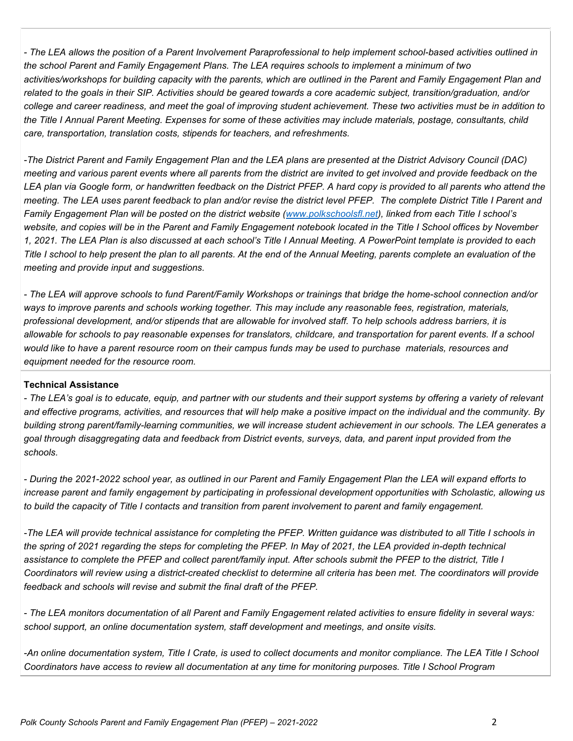*- The LEA allows the position of a Parent Involvement Paraprofessional to help implement school-based activities outlined in the school Parent and Family Engagement Plans. The LEA requires schools to implement a minimum of two activities/workshops for building capacity with the parents, which are outlined in the Parent and Family Engagement Plan and related to the goals in their SIP. Activities should be geared towards a core academic subject, transition/graduation, and/or college and career readiness, and meet the goal of improving student achievement. These two activities must be in addition to the Title I Annual Parent Meeting. Expenses for some of these activities may include materials, postage, consultants, child care, transportation, translation costs, stipends for teachers, and refreshments.*

*-The District Parent and Family Engagement Plan and the LEA plans are presented at the District Advisory Council (DAC) meeting and various parent events where all parents from the district are invited to get involved and provide feedback on the LEA plan via Google form, or handwritten feedback on the District PFEP. A hard copy is provided to all parents who attend the meeting. The LEA uses parent feedback to plan and/or revise the district level PFEP. The complete District Title I Parent and Family Engagement Plan will be posted on the district website [\(www.polkschoolsfl.net\)](http://www.polkschoolsfl.net/), linked from each Title I school's website, and copies will be in the Parent and Family Engagement notebook located in the Title I School offices by November 1, 2021. The LEA Plan is also discussed at each school's Title I Annual Meeting. A PowerPoint template is provided to each Title I school to help present the plan to all parents. At the end of the Annual Meeting, parents complete an evaluation of the meeting and provide input and suggestions.*

*- The LEA will approve schools to fund Parent/Family Workshops or trainings that bridge the home-school connection and/or ways to improve parents and schools working together. This may include any reasonable fees, registration, materials, professional development, and/or stipends that are allowable for involved staff. To help schools address barriers, it is allowable for schools to pay reasonable expenses for translators, childcare, and transportation for parent events. If a school would like to have a parent resource room on their campus funds may be used to purchase materials, resources and equipment needed for the resource room.*

### **Technical Assistance**

*- The LEA's goal is to educate, equip, and partner with our students and their support systems by offering a variety of relevant and effective programs, activities, and resources that will help make a positive impact on the individual and the community. By building strong parent/family-learning communities, we will increase student achievement in our schools. The LEA generates a goal through disaggregating data and feedback from District events, surveys, data, and parent input provided from the schools.*

*- During the 2021-2022 school year, as outlined in our Parent and Family Engagement Plan the LEA will expand efforts to increase parent and family engagement by participating in professional development opportunities with Scholastic, allowing us to build the capacity of Title I contacts and transition from parent involvement to parent and family engagement.*

*-The LEA will provide technical assistance for completing the PFEP. Written guidance was distributed to all Title I schools in the spring of 2021 regarding the steps for completing the PFEP. In May of 2021, the LEA provided in-depth technical assistance to complete the PFEP and collect parent/family input. After schools submit the PFEP to the district, Title I Coordinators will review using a district-created checklist to determine all criteria has been met. The coordinators will provide feedback and schools will revise and submit the final draft of the PFEP.*

*- The LEA monitors documentation of all Parent and Family Engagement related activities to ensure fidelity in several ways: school support, an online documentation system, staff development and meetings, and onsite visits.*

*-An online documentation system, Title I Crate, is used to collect documents and monitor compliance. The LEA Title I School Coordinators have access to review all documentation at any time for monitoring purposes. Title I School Program*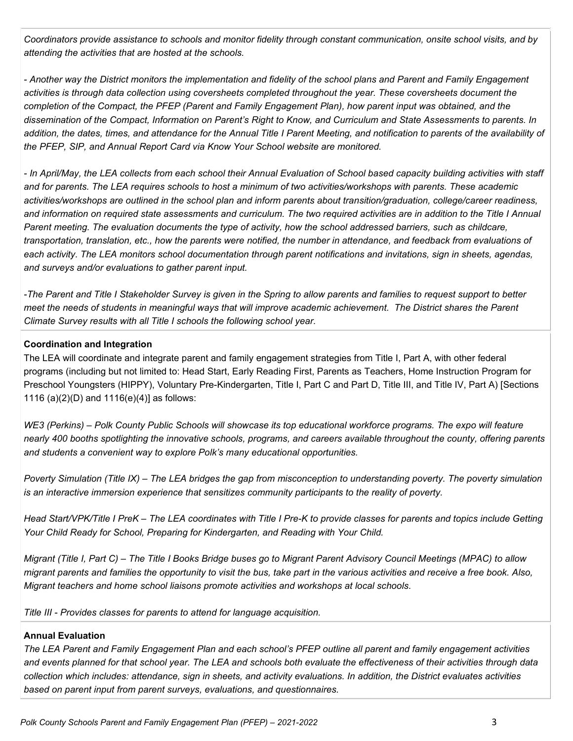*Coordinators provide assistance to schools and monitor fidelity through constant communication, onsite school visits, and by attending the activities that are hosted at the schools.*

*- Another way the District monitors the implementation and fidelity of the school plans and Parent and Family Engagement activities is through data collection using coversheets completed throughout the year. These coversheets document the completion of the Compact, the PFEP (Parent and Family Engagement Plan), how parent input was obtained, and the dissemination of the Compact, Information on Parent's Right to Know, and Curriculum and State Assessments to parents. In addition, the dates, times, and attendance for the Annual Title I Parent Meeting, and notification to parents of the availability of the PFEP, SIP, and Annual Report Card via Know Your School website are monitored.*

*- In April/May, the LEA collects from each school their Annual Evaluation of School based capacity building activities with staff and for parents. The LEA requires schools to host a minimum of two activities/workshops with parents. These academic activities/workshops are outlined in the school plan and inform parents about transition/graduation, college/career readiness, and information on required state assessments and curriculum. The two required activities are in addition to the Title I Annual Parent meeting. The evaluation documents the type of activity, how the school addressed barriers, such as childcare, transportation, translation, etc., how the parents were notified, the number in attendance, and feedback from evaluations of each activity. The LEA monitors school documentation through parent notifications and invitations, sign in sheets, agendas, and surveys and/or evaluations to gather parent input.*

*-The Parent and Title I Stakeholder Survey is given in the Spring to allow parents and families to request support to better meet the needs of students in meaningful ways that will improve academic achievement. The District shares the Parent Climate Survey results with all Title I schools the following school year.*

### **Coordination and Integration**

The LEA will coordinate and integrate parent and family engagement strategies from Title I, Part A, with other federal programs (including but not limited to: Head Start, Early Reading First, Parents as Teachers, Home Instruction Program for Preschool Youngsters (HIPPY), Voluntary Pre-Kindergarten, Title I, Part C and Part D, Title III, and Title IV, Part A) [Sections 1116 (a)(2)(D) and 1116(e)(4)] as follows:

*WE3 (Perkins) – Polk County Public Schools will showcase its top educational workforce programs. The expo will feature nearly 400 booths spotlighting the innovative schools, programs, and careers available throughout the county, offering parents and students a convenient way to explore Polk's many educational opportunities.*

*Poverty Simulation (Title IX) – The LEA bridges the gap from misconception to understanding poverty. The poverty simulation is an interactive immersion experience that sensitizes community participants to the reality of poverty.*

*Head Start/VPK/Title I PreK – The LEA coordinates with Title I Pre-K to provide classes for parents and topics include Getting Your Child Ready for School, Preparing for Kindergarten, and Reading with Your Child.* 

*Migrant (Title I, Part C) – The Title I Books Bridge buses go to Migrant Parent Advisory Council Meetings (MPAC) to allow migrant parents and families the opportunity to visit the bus, take part in the various activities and receive a free book. Also, Migrant teachers and home school liaisons promote activities and workshops at local schools.*

*Title III - Provides classes for parents to attend for language acquisition.*

### **Annual Evaluation**

*The LEA Parent and Family Engagement Plan and each school's PFEP outline all parent and family engagement activities and events planned for that school year. The LEA and schools both evaluate the effectiveness of their activities through data collection which includes: attendance, sign in sheets, and activity evaluations. In addition, the District evaluates activities based on parent input from parent surveys, evaluations, and questionnaires.*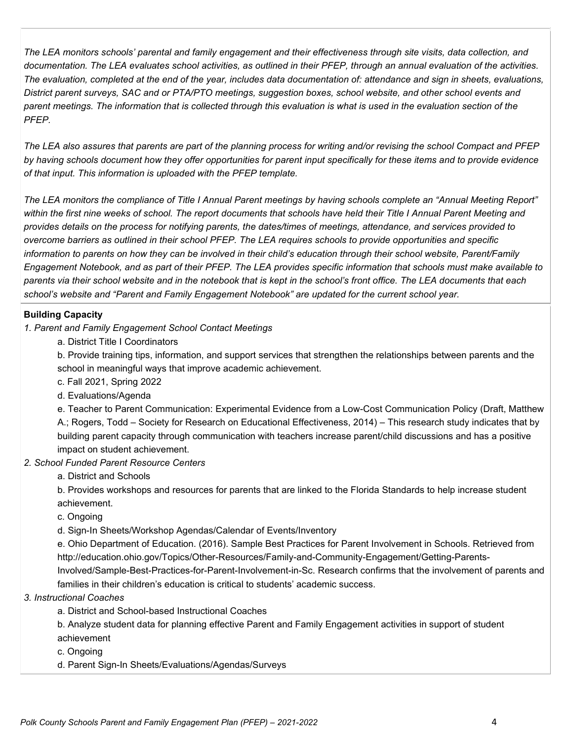*The LEA monitors schools' parental and family engagement and their effectiveness through site visits, data collection, and documentation. The LEA evaluates school activities, as outlined in their PFEP, through an annual evaluation of the activities. The evaluation, completed at the end of the year, includes data documentation of: attendance and sign in sheets, evaluations, District parent surveys, SAC and or PTA/PTO meetings, suggestion boxes, school website, and other school events and parent meetings. The information that is collected through this evaluation is what is used in the evaluation section of the PFEP.*

*The LEA also assures that parents are part of the planning process for writing and/or revising the school Compact and PFEP by having schools document how they offer opportunities for parent input specifically for these items and to provide evidence of that input. This information is uploaded with the PFEP template.*

*The LEA monitors the compliance of Title I Annual Parent meetings by having schools complete an "Annual Meeting Report" within the first nine weeks of school. The report documents that schools have held their Title I Annual Parent Meeting and provides details on the process for notifying parents, the dates/times of meetings, attendance, and services provided to overcome barriers as outlined in their school PFEP. The LEA requires schools to provide opportunities and specific information to parents on how they can be involved in their child's education through their school website, Parent/Family Engagement Notebook, and as part of their PFEP. The LEA provides specific information that schools must make available to parents via their school website and in the notebook that is kept in the school's front office. The LEA documents that each school's website and "Parent and Family Engagement Notebook" are updated for the current school year.*

# **Building Capacity**

- *1. Parent and Family Engagement School Contact Meetings*
	- a. District Title I Coordinators

b. Provide training tips, information, and support services that strengthen the relationships between parents and the school in meaningful ways that improve academic achievement.

- c. Fall 2021, Spring 2022
- d. Evaluations/Agenda

e. Teacher to Parent Communication: Experimental Evidence from a Low-Cost Communication Policy (Draft, Matthew A.; Rogers, Todd – Society for Research on Educational Effectiveness, 2014) – This research study indicates that by building parent capacity through communication with teachers increase parent/child discussions and has a positive impact on student achievement.

### *2. School Funded Parent Resource Centers*

a. District and Schools

b. Provides workshops and resources for parents that are linked to the Florida Standards to help increase student achievement.

c. Ongoing

d. Sign-In Sheets/Workshop Agendas/Calendar of Events/Inventory

e. Ohio Department of Education. (2016). Sample Best Practices for Parent Involvement in Schools. Retrieved from http://education.ohio.gov/Topics/Other-Resources/Family-and-Community-Engagement/Getting-Parents-

Involved/Sample-Best-Practices-for-Parent-Involvement-in-Sc. Research confirms that the involvement of parents and families in their children's education is critical to students' academic success.

# *3. Instructional Coaches*

a. District and School-based Instructional Coaches

b. Analyze student data for planning effective Parent and Family Engagement activities in support of student achievement

- c. Ongoing
- d. Parent Sign-In Sheets/Evaluations/Agendas/Surveys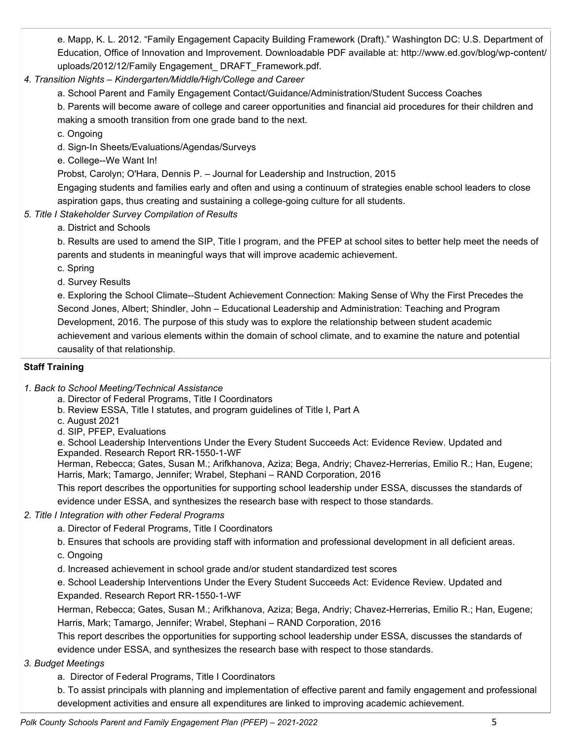e. Mapp, K. L. 2012. "Family Engagement Capacity Building Framework (Draft)." Washington DC: U.S. Department of Education, Office of Innovation and Improvement. Downloadable PDF available at: http://www.ed.gov/blog/wp-content/ uploads/2012/12/Family Engagement\_ DRAFT\_Framework.pdf.

# *4. Transition Nights – Kindergarten/Middle/High/College and Career*

a. School Parent and Family Engagement Contact/Guidance/Administration/Student Success Coaches

b. Parents will become aware of college and career opportunities and financial aid procedures for their children and making a smooth transition from one grade band to the next.

c. Ongoing

- d. Sign-In Sheets/Evaluations/Agendas/Surveys
- e. College--We Want In!

Probst, Carolyn; O'Hara, Dennis P. – Journal for Leadership and Instruction, 2015

Engaging students and families early and often and using a continuum of strategies enable school leaders to close aspiration gaps, thus creating and sustaining a college-going culture for all students.

- *5. Title I Stakeholder Survey Compilation of Results*
	- a. District and Schools

b. Results are used to amend the SIP, Title I program, and the PFEP at school sites to better help meet the needs of parents and students in meaningful ways that will improve academic achievement.

c. Spring

d. Survey Results

e. Exploring the School Climate--Student Achievement Connection: Making Sense of Why the First Precedes the Second Jones, Albert; Shindler, John – Educational Leadership and Administration: Teaching and Program Development, 2016. The purpose of this study was to explore the relationship between student academic achievement and various elements within the domain of school climate, and to examine the nature and potential causality of that relationship.

### **Staff Training**

- *1. Back to School Meeting/Technical Assistance*
	- a. Director of Federal Programs, Title I Coordinators
	- b. Review ESSA, Title I statutes, and program guidelines of Title I, Part A
	- c. August 2021
	- d. SIP, PFEP, Evaluations

e. School Leadership Interventions Under the Every Student Succeeds Act: Evidence Review. Updated and Expanded. Research Report RR-1550-1-WF

Herman, Rebecca; Gates, Susan M.; Arifkhanova, Aziza; Bega, Andriy; Chavez-Herrerias, Emilio R.; Han, Eugene; Harris, Mark; Tamargo, Jennifer; Wrabel, Stephani – RAND Corporation, 2016

This report describes the opportunities for supporting school leadership under ESSA, discusses the standards of evidence under ESSA, and synthesizes the research base with respect to those standards*.*

### *2. Title I Integration with other Federal Programs*

- a. Director of Federal Programs, Title I Coordinators
- b. Ensures that schools are providing staff with information and professional development in all deficient areas.
- c. Ongoing
- d. Increased achievement in school grade and/or student standardized test scores

e. School Leadership Interventions Under the Every Student Succeeds Act: Evidence Review. Updated and Expanded. Research Report RR-1550-1-WF

Herman, Rebecca; Gates, Susan M.; Arifkhanova, Aziza; Bega, Andriy; Chavez-Herrerias, Emilio R.; Han, Eugene; Harris, Mark; Tamargo, Jennifer; Wrabel, Stephani – RAND Corporation, 2016

This report describes the opportunities for supporting school leadership under ESSA, discusses the standards of evidence under ESSA, and synthesizes the research base with respect to those standards.

# *3. Budget Meetings*

a. Director of Federal Programs, Title I Coordinators

b. To assist principals with planning and implementation of effective parent and family engagement and professional development activities and ensure all expenditures are linked to improving academic achievement.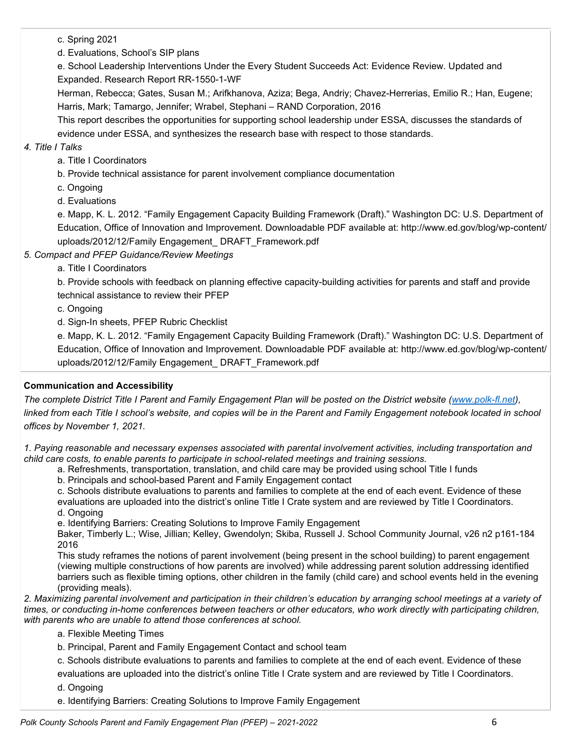c. Spring 2021

d. Evaluations, School's SIP plans

e. School Leadership Interventions Under the Every Student Succeeds Act: Evidence Review. Updated and Expanded. Research Report RR-1550-1-WF

Herman, Rebecca; Gates, Susan M.; Arifkhanova, Aziza; Bega, Andriy; Chavez-Herrerias, Emilio R.; Han, Eugene; Harris, Mark; Tamargo, Jennifer; Wrabel, Stephani – RAND Corporation, 2016

This report describes the opportunities for supporting school leadership under ESSA, discusses the standards of evidence under ESSA, and synthesizes the research base with respect to those standards.

### *4. Title I Talks*

a. Title I Coordinators

b. Provide technical assistance for parent involvement compliance documentation

c. Ongoing

d. Evaluations

e. Mapp, K. L. 2012. "Family Engagement Capacity Building Framework (Draft)." Washington DC: U.S. Department of Education, Office of Innovation and Improvement. Downloadable PDF available at: http://www.ed.gov/blog/wp-content/ uploads/2012/12/Family Engagement\_ DRAFT\_Framework.pdf

*5. Compact and PFEP Guidance/Review Meetings*

a. Title I Coordinators

b. Provide schools with feedback on planning effective capacity-building activities for parents and staff and provide technical assistance to review their PFEP

c. Ongoing

d. Sign-In sheets, PFEP Rubric Checklist

e. Mapp, K. L. 2012. "Family Engagement Capacity Building Framework (Draft)." Washington DC: U.S. Department of Education, Office of Innovation and Improvement. Downloadable PDF available at: http://www.ed.gov/blog/wp-content/ uploads/2012/12/Family Engagement\_ DRAFT\_Framework.pdf

# **Communication and Accessibility**

*The complete District Title I Parent and Family Engagement Plan will be posted on the District website [\(www.polk-fl.net\)](http://www.polk-fl.net/)*, *linked from each Title I school's website, and copies will be in the Parent and Family Engagement notebook located in school offices by November 1, 2021.*

*1. Paying reasonable and necessary expenses associated with parental involvement activities, including transportation and child care costs, to enable parents to participate in school-related meetings and training sessions.*

a. Refreshments, transportation, translation, and child care may be provided using school Title I funds

b. Principals and school-based Parent and Family Engagement contact

c. Schools distribute evaluations to parents and families to complete at the end of each event. Evidence of these evaluations are uploaded into the district's online Title I Crate system and are reviewed by Title I Coordinators. d. Ongoing

e. Identifying Barriers: Creating Solutions to Improve Family Engagement

Baker, Timberly L.; Wise, Jillian; Kelley, Gwendolyn; Skiba, Russell J. School Community Journal, v26 n2 p161-184 2016

This study reframes the notions of parent involvement (being present in the school building) to parent engagement (viewing multiple constructions of how parents are involved) while addressing parent solution addressing identified barriers such as flexible timing options, other children in the family (child care) and school events held in the evening (providing meals).

*2. Maximizing parental involvement and participation in their children's education by arranging school meetings at a variety of times, or conducting in-home conferences between teachers or other educators, who work directly with participating children, with parents who are unable to attend those conferences at school.*

a. Flexible Meeting Times

b. Principal, Parent and Family Engagement Contact and school team

c. Schools distribute evaluations to parents and families to complete at the end of each event. Evidence of these

evaluations are uploaded into the district's online Title I Crate system and are reviewed by Title I Coordinators.

d. Ongoing

e. Identifying Barriers: Creating Solutions to Improve Family Engagement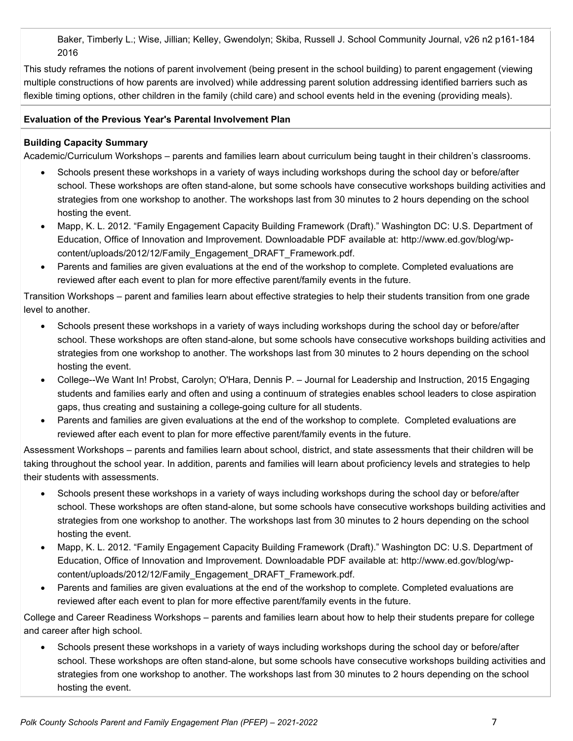Baker, Timberly L.; Wise, Jillian; Kelley, Gwendolyn; Skiba, Russell J. School Community Journal, v26 n2 p161-184 2016

This study reframes the notions of parent involvement (being present in the school building) to parent engagement (viewing multiple constructions of how parents are involved) while addressing parent solution addressing identified barriers such as flexible timing options, other children in the family (child care) and school events held in the evening (providing meals).

### **Evaluation of the Previous Year's Parental Involvement Plan**

### **Building Capacity Summary**

Academic/Curriculum Workshops – parents and families learn about curriculum being taught in their children's classrooms.

- Schools present these workshops in a variety of ways including workshops during the school day or before/after school. These workshops are often stand-alone, but some schools have consecutive workshops building activities and strategies from one workshop to another. The workshops last from 30 minutes to 2 hours depending on the school hosting the event.
- Mapp, K. L. 2012. "Family Engagement Capacity Building Framework (Draft)." Washington DC: U.S. Department of Education, Office of Innovation and Improvement. Downloadable PDF available at: http://www.ed.gov/blog/wpcontent/uploads/2012/12/Family\_Engagement\_DRAFT\_Framework.pdf.
- Parents and families are given evaluations at the end of the workshop to complete. Completed evaluations are reviewed after each event to plan for more effective parent/family events in the future.

Transition Workshops – parent and families learn about effective strategies to help their students transition from one grade level to another.

- Schools present these workshops in a variety of ways including workshops during the school day or before/after school. These workshops are often stand-alone, but some schools have consecutive workshops building activities and strategies from one workshop to another. The workshops last from 30 minutes to 2 hours depending on the school hosting the event.
- College--We Want In! Probst, Carolyn; O'Hara, Dennis P. Journal for Leadership and Instruction, 2015 Engaging students and families early and often and using a continuum of strategies enables school leaders to close aspiration gaps, thus creating and sustaining a college-going culture for all students.
- Parents and families are given evaluations at the end of the workshop to complete. Completed evaluations are reviewed after each event to plan for more effective parent/family events in the future.

Assessment Workshops – parents and families learn about school, district, and state assessments that their children will be taking throughout the school year. In addition, parents and families will learn about proficiency levels and strategies to help their students with assessments.

- Schools present these workshops in a variety of ways including workshops during the school day or before/after school. These workshops are often stand-alone, but some schools have consecutive workshops building activities and strategies from one workshop to another. The workshops last from 30 minutes to 2 hours depending on the school hosting the event.
- Mapp, K. L. 2012. "Family Engagement Capacity Building Framework (Draft)." Washington DC: U.S. Department of Education, Office of Innovation and Improvement. Downloadable PDF available at: http://www.ed.gov/blog/wpcontent/uploads/2012/12/Family\_Engagement\_DRAFT\_Framework.pdf.
- Parents and families are given evaluations at the end of the workshop to complete. Completed evaluations are reviewed after each event to plan for more effective parent/family events in the future.

College and Career Readiness Workshops – parents and families learn about how to help their students prepare for college and career after high school.

• Schools present these workshops in a variety of ways including workshops during the school day or before/after school. These workshops are often stand-alone, but some schools have consecutive workshops building activities and strategies from one workshop to another. The workshops last from 30 minutes to 2 hours depending on the school hosting the event.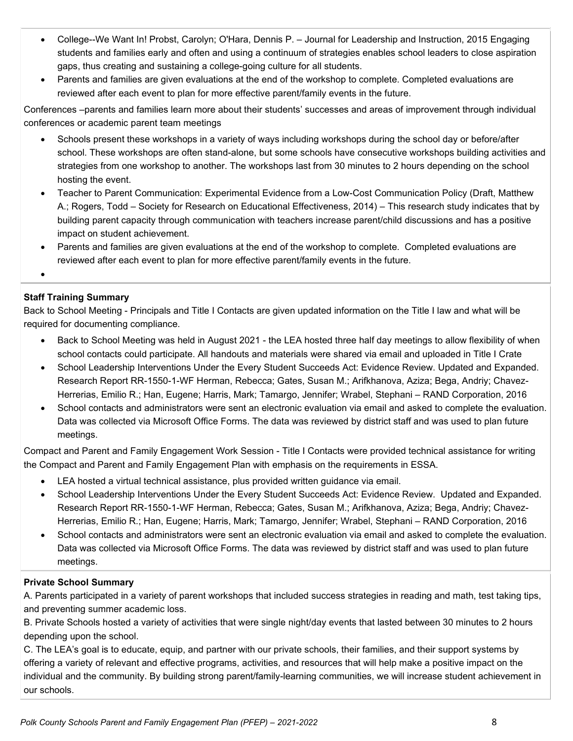- College--We Want In! Probst, Carolyn; O'Hara, Dennis P. Journal for Leadership and Instruction, 2015 Engaging students and families early and often and using a continuum of strategies enables school leaders to close aspiration gaps, thus creating and sustaining a college-going culture for all students.
- Parents and families are given evaluations at the end of the workshop to complete. Completed evaluations are reviewed after each event to plan for more effective parent/family events in the future.

Conferences –parents and families learn more about their students' successes and areas of improvement through individual conferences or academic parent team meetings

- Schools present these workshops in a variety of ways including workshops during the school day or before/after school. These workshops are often stand-alone, but some schools have consecutive workshops building activities and strategies from one workshop to another. The workshops last from 30 minutes to 2 hours depending on the school hosting the event.
- Teacher to Parent Communication: Experimental Evidence from a Low-Cost Communication Policy (Draft, Matthew A.; Rogers, Todd – Society for Research on Educational Effectiveness, 2014) – This research study indicates that by building parent capacity through communication with teachers increase parent/child discussions and has a positive impact on student achievement.
- Parents and families are given evaluations at the end of the workshop to complete. Completed evaluations are reviewed after each event to plan for more effective parent/family events in the future.

 $\bullet$ 

# **Staff Training Summary**

Back to School Meeting - Principals and Title I Contacts are given updated information on the Title I law and what will be required for documenting compliance.

- Back to School Meeting was held in August 2021 the LEA hosted three half day meetings to allow flexibility of when school contacts could participate. All handouts and materials were shared via email and uploaded in Title I Crate
- School Leadership Interventions Under the Every Student Succeeds Act: Evidence Review. Updated and Expanded. Research Report RR-1550-1-WF Herman, Rebecca; Gates, Susan M.; Arifkhanova, Aziza; Bega, Andriy; Chavez-Herrerias, Emilio R.; Han, Eugene; Harris, Mark; Tamargo, Jennifer; Wrabel, Stephani – RAND Corporation, 2016
- School contacts and administrators were sent an electronic evaluation via email and asked to complete the evaluation. Data was collected via Microsoft Office Forms. The data was reviewed by district staff and was used to plan future meetings.

Compact and Parent and Family Engagement Work Session - Title I Contacts were provided technical assistance for writing the Compact and Parent and Family Engagement Plan with emphasis on the requirements in ESSA.

- LEA hosted a virtual technical assistance, plus provided written guidance via email.
- School Leadership Interventions Under the Every Student Succeeds Act: Evidence Review. Updated and Expanded. Research Report RR-1550-1-WF Herman, Rebecca; Gates, Susan M.; Arifkhanova, Aziza; Bega, Andriy; Chavez-Herrerias, Emilio R.; Han, Eugene; Harris, Mark; Tamargo, Jennifer; Wrabel, Stephani – RAND Corporation, 2016
- School contacts and administrators were sent an electronic evaluation via email and asked to complete the evaluation. Data was collected via Microsoft Office Forms. The data was reviewed by district staff and was used to plan future meetings.

# **Private School Summary**

A. Parents participated in a variety of parent workshops that included success strategies in reading and math, test taking tips, and preventing summer academic loss.

B. Private Schools hosted a variety of activities that were single night/day events that lasted between 30 minutes to 2 hours depending upon the school.

C. The LEA's goal is to educate, equip, and partner with our private schools, their families, and their support systems by offering a variety of relevant and effective programs, activities, and resources that will help make a positive impact on the individual and the community. By building strong parent/family-learning communities, we will increase student achievement in our schools.